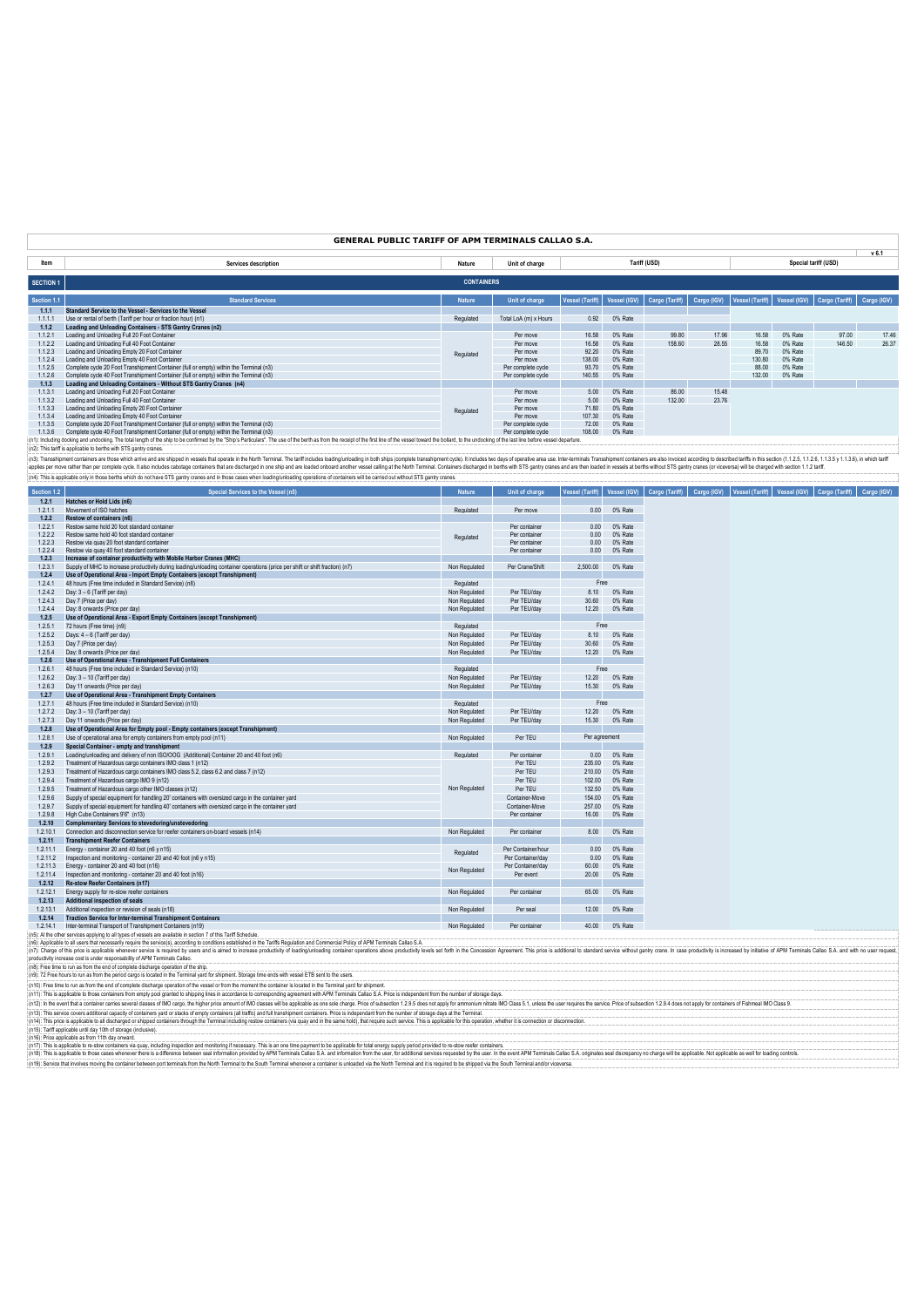| <b>GENERAL PUBLIC TARIFF OF APM TERMINALS CALLAO S.A.</b> |                                                                                                                                                                                                                                |                   |                       |                        |              |                |             |                 |              |                      |             |
|-----------------------------------------------------------|--------------------------------------------------------------------------------------------------------------------------------------------------------------------------------------------------------------------------------|-------------------|-----------------------|------------------------|--------------|----------------|-------------|-----------------|--------------|----------------------|-------------|
|                                                           |                                                                                                                                                                                                                                |                   |                       |                        |              |                |             |                 |              |                      | $v$ 6.1     |
| Item                                                      | Services description                                                                                                                                                                                                           | Nature            | Unit of charge        |                        |              | Tariff (USD)   |             |                 |              | Special tariff (USD) |             |
| <b>SECTION 1</b>                                          |                                                                                                                                                                                                                                | <b>CONTAINERS</b> |                       |                        |              |                |             |                 |              |                      |             |
| Section 1.1                                               | <b>Standard Services</b>                                                                                                                                                                                                       | <b>Nature</b>     | Unit of charge        | <b>Vessel (Tariff)</b> | Vessel (IGV) | Cargo (Tariff) | Cargo (IGV) | Vessel (Tariff) | Vessel (IGV) | Cargo (Tariff)       | Cargo (IGV) |
| 1.1.1                                                     | Standard Service to the Vessel - Services to the Vessel                                                                                                                                                                        |                   |                       |                        |              |                |             |                 |              |                      |             |
| 1111                                                      | Use or rental of berth (Tariff per hour or fraction hour) (n1)                                                                                                                                                                 | Regulated         | Total LoA (m) x Hours | 0.92                   | 0% Rate      |                |             |                 |              |                      |             |
| 1.1.2                                                     | Loading and Unloading Containers - STS Gantry Cranes (n2)                                                                                                                                                                      |                   |                       |                        |              |                |             |                 |              |                      |             |
| 1121                                                      | Loading and Unloading Full 20 Foot Container                                                                                                                                                                                   |                   | Per move              | 16.58                  | 0% Rate      | 99.80          | 17.96       | 16.58           | 0% Rate      | 97.00                | 17.46       |
| 1.1.2.2                                                   | Loading and Unloading Full 40 Foot Container                                                                                                                                                                                   |                   | Per move              | 16.58                  | 0% Rate      | 158.60         | 28.55       | 16.58           | 0% Rate      | 146.50               | 26.37       |
| 1123                                                      | Loading and Unloading Empty 20 Foot Container                                                                                                                                                                                  | Regulated         | Per move              | 92.20                  | 0% Rate      |                |             | 89.70           | 0% Rate      |                      |             |
| 1124                                                      | Loading and Unloading Empty 40 Foot Container                                                                                                                                                                                  |                   | Per move              | 138.00                 | 0% Rate      |                |             | 130.80          | 0% Rate      |                      |             |
| 1125                                                      | Complete cycle 20 Foot Transhipment Container (full or empty) within the Terminal (n3)                                                                                                                                         |                   | Per complete cycle    | 93.70                  | 0% Rate      |                |             | 88.00           | 0% Rate      |                      |             |
| 1.1.2.6                                                   | Complete cycle 40 Foot Transhipment Container (full or empty) within the Terminal (n3)                                                                                                                                         |                   | Per complete cycle    | 140.55                 | 0% Rate      |                |             | 132.00          | 0% Rate      |                      |             |
| 1.1.3                                                     | Loading and Unloading Containers - Without STS Gantry Cranes (n4)                                                                                                                                                              |                   |                       |                        |              |                |             |                 |              |                      |             |
| 1131                                                      | Loading and Unloading Full 20 Foot Container                                                                                                                                                                                   |                   | Per move              | 5.00                   | 0% Rate      | 86.00          | 15.48       |                 |              |                      |             |
| 1132                                                      | Loading and Unloading Full 40 Foot Container                                                                                                                                                                                   |                   | Per move              | 5.00                   | 0% Rate      | 132.00         | 23.76       |                 |              |                      |             |
| 1.1.3.3                                                   | Loading and Unloading Empty 20 Foot Container                                                                                                                                                                                  | Regulated         | Per move              | 71.80                  | 0% Rate      |                |             |                 |              |                      |             |
| 1134                                                      | Loading and Unloading Empty 40 Foot Container                                                                                                                                                                                  |                   | Per move              | 107.30                 | 0% Rate      |                |             |                 |              |                      |             |
| 1135                                                      | Complete cycle 20 Foot Transhipment Container (full or empty) within the Terminal (n3)                                                                                                                                         |                   | Per complete cycle    | 72.00                  | 0% Rate      |                |             |                 |              |                      |             |
| 1136                                                      | Complete cycle 40 Foot Transhipment Container (full or empty) within the Terminal (n3)                                                                                                                                         |                   | Per complete cycle    | 108.00                 | 0% Rate      |                |             |                 |              |                      |             |
|                                                           | (n1): Including docking and undocking. The total length of the ship to be confirmed by the "Ship's Particulars". The use of the berth as from the receipt of the first line of the wessel toward the bollard, to the undocking |                   |                       |                        |              |                |             |                 |              |                      |             |
|                                                           | (n2): This tariff is applicable to berths with STS gantry cranes.                                                                                                                                                              |                   |                       |                        |              |                |             |                 |              |                      |             |
|                                                           | (n3): Transshipment containers are those which arrive and are shipped in vessels that operate in the North Terminal. The tariff includes loading unloading in both arist complete transshipment cycle). It includes two days o |                   |                       |                        |              |                |             |                 |              |                      |             |

applies per move rather than per complete cycle. It also includes cabotage containers that are discharged in one ship and are loaded onboard another vessel calling at the North Terminal. Containers discharged in berths wit (n4): This is applicable only in those berths which do not have STS gantry cranes and in those cases when loading/unloading operations of containers will be carried out without STS gantry cranes.

| <b>Section 1.2</b> | Special Services to the Vessel (n5)                                                                                                                                                                                                                                                                       | <b>Nature</b> | Unit of charge     |               |         | Vessel (Tariff)   Vessel (IGV)   Cargo (Tariff)   Cargo (IGV)   Vessel (Tariff)   Vessel (IGV)   Cargo (Tariff)   Cargo (IGV) |  |
|--------------------|-----------------------------------------------------------------------------------------------------------------------------------------------------------------------------------------------------------------------------------------------------------------------------------------------------------|---------------|--------------------|---------------|---------|-------------------------------------------------------------------------------------------------------------------------------|--|
| 1.2.1              | Hatches or Hold Lids (n6)                                                                                                                                                                                                                                                                                 |               |                    |               |         |                                                                                                                               |  |
| 1.2.1.1            | Movement of ISO hatches                                                                                                                                                                                                                                                                                   | Regulated     | Per move           | 0.00          | 0% Rate |                                                                                                                               |  |
| 1.2.2              | Restow of containers (n6)                                                                                                                                                                                                                                                                                 |               |                    |               |         |                                                                                                                               |  |
| 1.2.2.1            | Restow same hold 20 foot standard container                                                                                                                                                                                                                                                               |               | Per container      | 0.00          | 0% Rate |                                                                                                                               |  |
| 1.2.2.2            | Restow same hold 40 foot standard container                                                                                                                                                                                                                                                               | Regulated     | Per container      | 0.00          | 0% Rate |                                                                                                                               |  |
| 1.2.2.3            | Restow via quay 20 foot standard container                                                                                                                                                                                                                                                                |               | Per container      | 0.00          | 0% Rate |                                                                                                                               |  |
| 1.2.2.4            | Restow via quay 40 foot standard container                                                                                                                                                                                                                                                                |               | Per container      | 0.00          | 0% Rate |                                                                                                                               |  |
| 1.2.3              | Increase of container productivity with Mobile Harbor Cranes (MHC)                                                                                                                                                                                                                                        |               |                    |               |         |                                                                                                                               |  |
| 1.2.3.1            | Supply of MHC to increase productivity during loading/unloading container operations (price per shift or shift fraction) (n7)                                                                                                                                                                             | Non Regulated | Per Crane/Shift    | 2,500.00      | 0% Rate |                                                                                                                               |  |
| 1.2.4              | Use of Operational Area - Import Empty Containers (except Transhipment)                                                                                                                                                                                                                                   |               |                    |               |         |                                                                                                                               |  |
| 1.2.4.1            | 48 hours (Free time included in Standard Service) (n8)                                                                                                                                                                                                                                                    | Regulated     |                    | Free          |         |                                                                                                                               |  |
| 1.2.4.2            | Day: 3 - 6 (Tariff per day)                                                                                                                                                                                                                                                                               | Non Regulated | Per TEU/dav        | 8.10          | 0% Rate |                                                                                                                               |  |
| 1.2.4.3            | Day 7 (Price per day)                                                                                                                                                                                                                                                                                     | Non Regulated | Per TEU/dav        | 30.60         | 0% Rate |                                                                                                                               |  |
| 1.2.4.4            | Day: 8 onwards (Price per day)                                                                                                                                                                                                                                                                            | Non Regulated | Per TEU/day        | 12.20         | 0% Rate |                                                                                                                               |  |
| 1.2.5              | Use of Operational Area - Export Empty Containers (except Transhipment)                                                                                                                                                                                                                                   |               |                    |               |         |                                                                                                                               |  |
| 1.2.5.1            | 72 hours (Free time) (n9)                                                                                                                                                                                                                                                                                 | Regulated     |                    | Free          |         |                                                                                                                               |  |
| 1.2.5.2            | Days: 4 - 6 (Tariff per day)                                                                                                                                                                                                                                                                              | Non Regulated | Per TEU/day        | 8.10          | 0% Rate |                                                                                                                               |  |
| 1.2.5.3            | Day 7 (Price per day)                                                                                                                                                                                                                                                                                     | Non Regulated | Per TEU/day        | 30.60         | 0% Rate |                                                                                                                               |  |
| 1.2.5.4            | Day: 8 onwards (Price per day)                                                                                                                                                                                                                                                                            | Non Regulated | Per TEU/day        | 12.20         | 0% Rate |                                                                                                                               |  |
| 1.2.6              | Use of Operational Area - Transhipment Full Containers                                                                                                                                                                                                                                                    |               |                    |               |         |                                                                                                                               |  |
| 1.2.6.1            | 48 hours (Free time included in Standard Service) (n10)                                                                                                                                                                                                                                                   | Regulated     |                    | Free          |         |                                                                                                                               |  |
| 1.2.6.2            | Day: 3 - 10 (Tariff per day)                                                                                                                                                                                                                                                                              | Non Regulated | Per TEU/day        | 12.20         | 0% Rate |                                                                                                                               |  |
| 1.2.6.3            | Day 11 onwards (Price per day)                                                                                                                                                                                                                                                                            | Non Regulated | Per TEU/day        | 15.30         | 0% Rate |                                                                                                                               |  |
|                    |                                                                                                                                                                                                                                                                                                           |               |                    |               |         |                                                                                                                               |  |
| 1.2.7<br>1.2.7.1   | Use of Operational Area - Transhipment Empty Containers                                                                                                                                                                                                                                                   |               |                    | Free          |         |                                                                                                                               |  |
|                    | 48 hours (Free time included in Standard Service) (n10)                                                                                                                                                                                                                                                   | Regulated     |                    |               |         |                                                                                                                               |  |
| 1.2.7.2            | Day: 3 - 10 (Tariff per day)                                                                                                                                                                                                                                                                              | Non Regulated | Per TEU/day        | 12.20         | 0% Rate |                                                                                                                               |  |
| 1.2.7.3            | Day 11 onwards (Price per day)                                                                                                                                                                                                                                                                            | Non Regulated | Per TEU/day        | 15.30         | 0% Rate |                                                                                                                               |  |
| 1.2.8              | Use of Operational Area for Empty pool - Empty containers (except Transhipment)                                                                                                                                                                                                                           |               |                    |               |         |                                                                                                                               |  |
| 1.2.8.1            | Use of operational area for empty containers from empty pool (n11)                                                                                                                                                                                                                                        | Non Regulated | Per TEU            | Per agreement |         |                                                                                                                               |  |
| 1.2.9              | Special Container - empty and transhipment                                                                                                                                                                                                                                                                |               |                    |               |         |                                                                                                                               |  |
| 1.2.9.1            | Loading/unloading and delivery of non ISO/OOG (Additional) Container 20 and 40 foot (n6)                                                                                                                                                                                                                  | Regulated     | Per container      | 0.00          | 0% Rate |                                                                                                                               |  |
| 1.2.9.2            | Treatment of Hazardous cargo containers IMO class 1 (n12)                                                                                                                                                                                                                                                 |               | Per TEU            | 235.00        | 0% Rate |                                                                                                                               |  |
| 1.2.9.3            | Treatment of Hazardous cargo containers IMO class 5.2, class 6.2 and class 7 (n12)                                                                                                                                                                                                                        |               | Per TEU            | 210.00        | 0% Rate |                                                                                                                               |  |
| 1.2.9.4            | Treatment of Hazardous cargo IMO 9 (n12)                                                                                                                                                                                                                                                                  |               | Per TEU            | 102.00        | 0% Rate |                                                                                                                               |  |
| 1.2.9.5            | Treatment of Hazardous cargo other IMO classes (n12)                                                                                                                                                                                                                                                      | Non Regulated | Per TEU            | 132.50        | 0% Rate |                                                                                                                               |  |
| 1.2.9.6            | Supply of special equipment for handling 20' containers with oversized cargo in the container yard                                                                                                                                                                                                        |               | Container-Move     | 154.00        | 0% Rate |                                                                                                                               |  |
| 1.2.9.7            | Supply of special equipment for handling 40' containers with oversized cargo in the container yard                                                                                                                                                                                                        |               | Container-Move     | 257.00        | 0% Rate |                                                                                                                               |  |
| 1.2.9.8            | High Cube Containers 9'6" (n13)                                                                                                                                                                                                                                                                           |               | Per container      | 16.00         | 0% Rate |                                                                                                                               |  |
| 1.2.10             | <b>Complementary Services to stevedoring/unstevedoring</b>                                                                                                                                                                                                                                                |               |                    |               |         |                                                                                                                               |  |
| 1.2.10.1           | Connection and disconnection service for reefer containers on-board vessels (n14)                                                                                                                                                                                                                         | Non Regulated | Per container      | 8.00          | 0% Rate |                                                                                                                               |  |
| 1.2.11             | <b>Transhipment Reefer Containers</b>                                                                                                                                                                                                                                                                     |               |                    |               |         |                                                                                                                               |  |
| 1.2.11.1           | Energy - container 20 and 40 foot (n6 y n15)                                                                                                                                                                                                                                                              |               | Per Container/hour | 0.00          | 0% Rate |                                                                                                                               |  |
| 1.2.11.2           | Inspection and monitoring - container 20 and 40 foot (n6 y n15)                                                                                                                                                                                                                                           | Regulated     | Per Container/dav  | 0.00          | 0% Rate |                                                                                                                               |  |
| 1.2.11.3           | Energy - container 20 and 40 foot (n16)                                                                                                                                                                                                                                                                   |               | Per Container/dav  | 60.00         | 0% Rate |                                                                                                                               |  |
| 1.2.11.4           | Inspection and monitoring - container 20 and 40 foot (n16)                                                                                                                                                                                                                                                | Non Regulated | Per event          | 20.00         | 0% Rate |                                                                                                                               |  |
| 1.2.12             | Re-stow Reefer Containers (n17)                                                                                                                                                                                                                                                                           |               |                    |               |         |                                                                                                                               |  |
| 1.2.12.1           | Energy supply for re-stow reefer containers                                                                                                                                                                                                                                                               | Non Regulated | Per container      | 65.00         | 0% Rate |                                                                                                                               |  |
|                    | <b>Additional inspection of seals</b>                                                                                                                                                                                                                                                                     |               |                    |               |         |                                                                                                                               |  |
| 1.2.13<br>1.2.13.1 | Additional inspection or revision of seals (n18)                                                                                                                                                                                                                                                          |               | Per seal           | 12.00         | 0% Rate |                                                                                                                               |  |
|                    |                                                                                                                                                                                                                                                                                                           | Non Regulated |                    |               |         |                                                                                                                               |  |
| 1.2.14             | <b>Traction Service for Inter-terminal Transhipment Containers</b>                                                                                                                                                                                                                                        |               |                    | 40.00         |         |                                                                                                                               |  |
| 1.2.14.1           | Inter-terminal Transport of Transhipment Containers (n19)                                                                                                                                                                                                                                                 | Non Regulated | Per container      |               | 0% Rate |                                                                                                                               |  |
|                    | n5): Al the other services applying to all types of vessels are available in section 7 of this Tariff Schedule.<br>n6): Applicable to all users that necessarily require the service(s), according to conditions established in the Tariffs Regulation and Commercial Policy of APM Terminals Callao S.A. |               |                    |               |         |                                                                                                                               |  |
|                    |                                                                                                                                                                                                                                                                                                           |               |                    |               |         |                                                                                                                               |  |

(n7). This eposit and a sopitalis whenever series and a simula Callao.<br>producivity incease cost is under responsability of APM Terminals Callao.<br>(n9): 7 Fee fours to only incense and converse incense in the converse income

(n13). This spice towers additional capachy of containers yard or stabs of empty containers (all restort man including restow containers (wia quay and in the same hold), that require such sepicable for this operator, wheth

(n19): Service that involves moving the container between port terminals from the North Terminal to the South Terminal whenever a container is unloaded via the North Terminal and it is required to be shipped via the South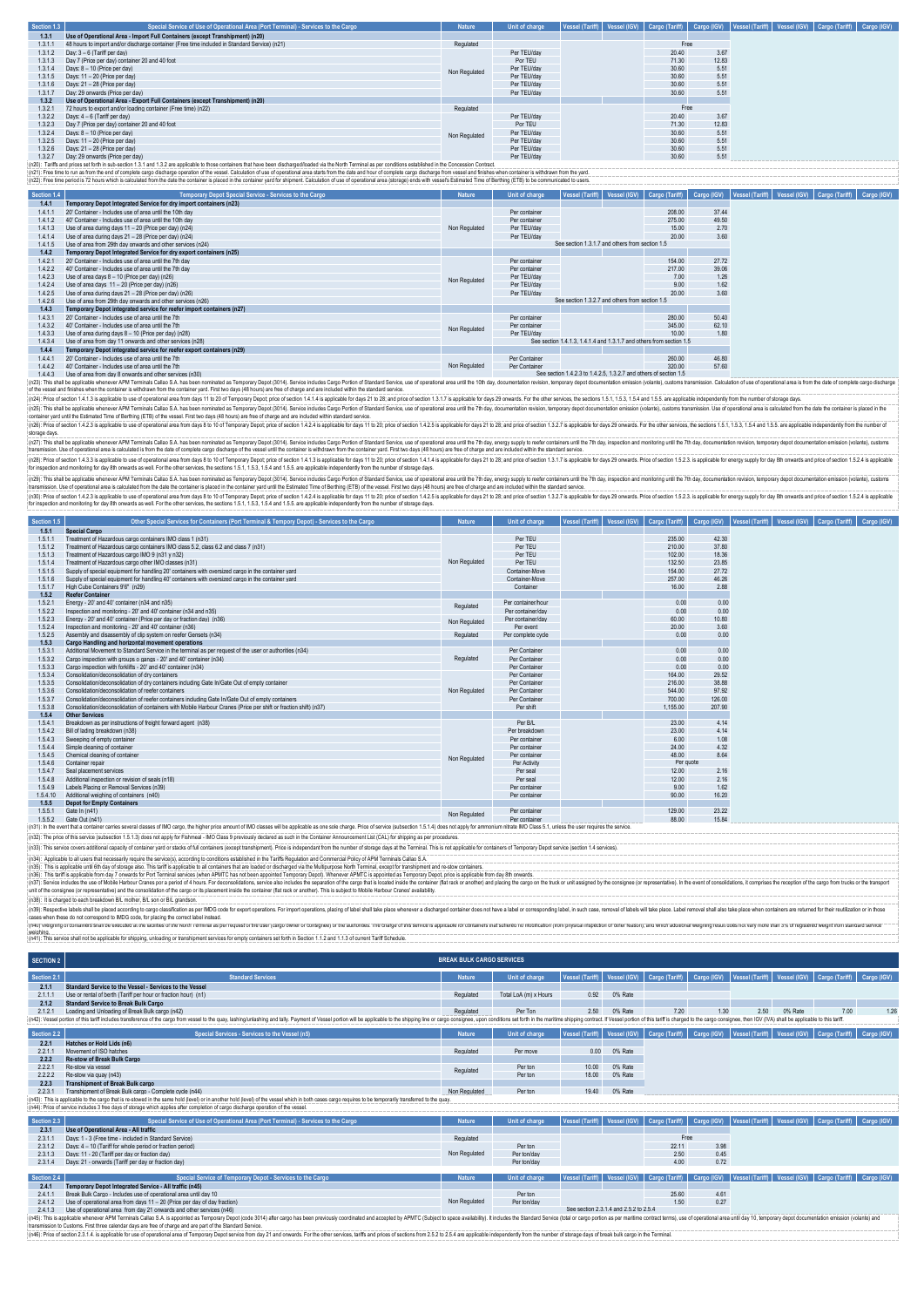| Section 1.3 | Special Service of Use of Operational Area (Port Terminal) - Services to the Cargo           | <b>Nature</b> | Unit of charge             | Vessel (Tariff)   Vessel (IGV)   Cargo (Tariff)   Cargo (IGV) |       |       | Vessel (Tariff)   Vessel (IGV)   Cargo (Tariff)   Cargo (IGV) |  |
|-------------|----------------------------------------------------------------------------------------------|---------------|----------------------------|---------------------------------------------------------------|-------|-------|---------------------------------------------------------------|--|
| 1,3.1       | Use of Operational Area - Import Full Containers (except Transhipment) (n20)                 |               |                            |                                                               |       |       |                                                               |  |
| 1311        | 48 hours to import and/or discharge container (Free time included in Standard Service) (n21) | Regulated     |                            |                                                               | Free  |       |                                                               |  |
| 1,3,1.2     | Day: 3 - 6 (Tariff per day)                                                                  |               | Per TEU/day                |                                                               | 20.40 | 3.67  |                                                               |  |
| 1,3,1,3     | Day 7 (Price per day) container 20 and 40 foot                                               |               | Por TEU                    |                                                               | 71.30 | 12.83 |                                                               |  |
| 1314        | Days: 8 - 10 (Price per day)                                                                 | Non Regulated | Per TEU/day                |                                                               | 30.60 | 5.51  |                                                               |  |
| 1315        | Days: 11 - 20 (Price per day)                                                                |               | Per TEU/day                |                                                               | 30.60 | 5.51  |                                                               |  |
| 1.3.1.6     | Days: 21 - 28 (Price per day)                                                                |               | Per TEU/day                |                                                               | 30.60 | 5.51  |                                                               |  |
| 1317        | Day: 29 onwards (Price per day)                                                              |               | Per TEU/day                |                                                               | 30.60 | 5.51  |                                                               |  |
| 1,3.2       | Use of Operational Area - Export Full Containers (except Transhipment) (n20)                 |               |                            |                                                               |       |       |                                                               |  |
| 1321        | 72 hours to export and/or loading container (Free time) (n22)                                | Regulated     |                            |                                                               | Free  |       |                                                               |  |
| 1.3.2.2     | Days: 4 - 6 (Tariff per day)                                                                 |               | Per TEU/day                |                                                               | 20.40 | 3.67  |                                                               |  |
| 1.3.2.3     | Day 7 (Price per day) container 20 and 40 foot                                               |               | Por TEU                    |                                                               | 71.30 | 12.83 |                                                               |  |
| 1324        | Days: 8 - 10 (Price per day)                                                                 | Non Regulated | Per TEU/day                |                                                               | 30.60 | 5.51  |                                                               |  |
| 1.3.2.5     | Days: 11 - 20 (Price per day)                                                                |               | Per TEU/day<br>Per TEU/day |                                                               | 30.60 | 5.51  |                                                               |  |
| 1.3.2.6     | Days: 21 - 28 (Price per day)                                                                |               |                            |                                                               | 30.60 | 5.51  |                                                               |  |
| 1.3.2.7     | Day: 29 onwards (Price per day)                                                              |               | Per TEU/day                |                                                               | 30.60 | 5.51  |                                                               |  |

1.3.2.7 Day: 29 onwards (Price per day). and 1.3.2 are applicable to hose containers that have been discharged/loaded via the North Terminal as per conditions established in the Concession Contract. Per TEU/day<br>(n21): Free

| Section 1.4 | Temporary Depot Special Service - Services to the Cargo               | <b>Nature</b> | Unit of charge | Vessel (Tariff)                                                      | Vessel (IGV) | Cargo (Tariff) | Cargo (IGV) |  |  |  |  |  | Vessel (Tariff)   Vessel (IGV)   Cargo (Tariff)   Cargo (IGV) |  |
|-------------|-----------------------------------------------------------------------|---------------|----------------|----------------------------------------------------------------------|--------------|----------------|-------------|--|--|--|--|--|---------------------------------------------------------------|--|
| 1.4.1       | Temporary Depot Integrated Service for dry import containers (n23)    |               |                |                                                                      |              |                |             |  |  |  |  |  |                                                               |  |
| 1411        | 20' Container - Includes use of area until the 10th day               |               | Per container  |                                                                      |              | 208.00         | 37.44       |  |  |  |  |  |                                                               |  |
| 1412        | 40' Container - Includes use of area until the 10th day               |               | Per container  |                                                                      |              | 275.00         | 49.50       |  |  |  |  |  |                                                               |  |
| 1413        | Use of area during days 11 - 20 (Price per day) (n24)                 | Non Regulated | Per TEU/dav    |                                                                      |              | 15.00          | 2.70        |  |  |  |  |  |                                                               |  |
| 1.4.1.4     | Use of area during days 21 - 28 (Price per day) (n24)                 |               | Per TEU/dav    |                                                                      |              | 20.00          | 3.60        |  |  |  |  |  |                                                               |  |
| 1415        | Use of area from 29th day onwards and other services (n24)            |               |                | See section 1.3.1.7 and others from section 1.5                      |              |                |             |  |  |  |  |  |                                                               |  |
| 1.4.2       | Temporary Depot Integrated Service for dry export containers (n25)    |               |                |                                                                      |              |                |             |  |  |  |  |  |                                                               |  |
| 1421        | 20' Container - Includes use of area until the 7th day                |               | Per container  |                                                                      |              | 154.00         | 27.72       |  |  |  |  |  |                                                               |  |
| 1422        | 40' Container - Includes use of area until the 7th day                |               | Per container  |                                                                      |              | 217.00         | 39.06       |  |  |  |  |  |                                                               |  |
| 1423        | Use of area days 8 - 10 (Price per day) (n26)                         | Non Regulated | Per TEU/dav    |                                                                      |              | 7.00           | 1.26        |  |  |  |  |  |                                                               |  |
| 1424        | Use of area days 11 - 20 (Price per day) (n26)                        |               | Per TEU/dav    |                                                                      |              | 9.00           | 1.62        |  |  |  |  |  |                                                               |  |
| 1425        | Use of area during days 21 - 28 (Price per day) (n26)                 |               | Per TEU/dav    |                                                                      |              | 20.00          | 3.60        |  |  |  |  |  |                                                               |  |
| 1.4.2.6     | Use of area from 29th day onwards and other services (n26)            |               |                | See section 1.3.2.7 and others from section 1.5                      |              |                |             |  |  |  |  |  |                                                               |  |
| 1.4.3       | Temporary Depot integrated service for reefer import containers (n27) |               |                |                                                                      |              |                |             |  |  |  |  |  |                                                               |  |
| 1431        | 20' Container - Includes use of area until the 7th                    |               | Per container  |                                                                      |              | 280.00         | 50.40       |  |  |  |  |  |                                                               |  |
| 1432        | 40' Container - Includes use of area until the 7th                    | Non Regulated | Per container  |                                                                      |              | 345.00         | 62.10       |  |  |  |  |  |                                                               |  |
| 1.4.3.3     | Use of area during days 8 - 10 (Price per day) (n28)                  |               | Per TEU/dav    |                                                                      |              | 10.00          | 1.80        |  |  |  |  |  |                                                               |  |
| 1434        | Use of area from day 11 onwards and other services (n28)              |               |                | See section 1.4.1.3. 1.4.1.4 and 1.3.1.7 and others from section 1.5 |              |                |             |  |  |  |  |  |                                                               |  |
| 1.4.4       | Temporary Depot integrated service for reefer export containers (n29) |               |                |                                                                      |              |                |             |  |  |  |  |  |                                                               |  |
| 1441        | 20' Container - Includes use of area until the 7th                    |               | Per Container  |                                                                      |              | 260.00         | 46.80       |  |  |  |  |  |                                                               |  |
| 1.4.4.2     | 40' Container - Includes use of area until the 7th                    | Non Regulated | Per Container  |                                                                      |              | 320.00         | 57.60       |  |  |  |  |  |                                                               |  |
| 1443        | Use of area from day 8 onwards and other services (n30)               |               |                | See section 1.4.2.3 to 1.4.2.5, 1.3.2.7 and others of section 1.5    |              |                |             |  |  |  |  |  |                                                               |  |

1.4.3 Use of area from day forwards and other services in 30<br>(r23): This shall be applicable whenever APM Terminals Calles SA has been nominated as Temporary Depot (3014). Service includes Cargo Portion of Slandard Service

storage days.

(ri2): This hall be applicable when the National Assection minated as Temporal Depart Depart Depart Department in the State in the State of the Westernal and the United States and the State of the vessel until the ordinary (n2)); Pina of 14.3) is applicable buse of operational era form days is 10 of Temporany Depot, 14.13 is applicable for 11.9 and provide in the spinable brands 21.0.3.15.3.15.3.15.4 and 15.5. are applicable dependently from

.<br>Other Special Services for Containers (Port Terminal & Tempory Depot) - Services to the Cargo ∴ Nature Unit of charge Vessel (Tariff) Vessel (Rariff) © argo (Rariff) © Cargo (Tariff) | Cargo (Tariff) | Cargo (To iff) | (n2): This shall be goilable where AM Teminato Callo S.A has been minimated as Tempory Data into a comparty of the comparty of the comparty of the comparty of the comparty of the comparty of the comparty of the comparty of

| <b>DECROIT I'D</b> | <b>Other Operation on vices for Opticaliters</b> (Fort Terminal & Tempory Depot) - Ourvices to the Oaryo                                                                                                                       | .             | our or enarge researchanny   vesser (iov)   oargo (rann)   oargo (iov)   vesser (rann)   vesser (iov)   oargo (rann) |  |           |        |
|--------------------|--------------------------------------------------------------------------------------------------------------------------------------------------------------------------------------------------------------------------------|---------------|----------------------------------------------------------------------------------------------------------------------|--|-----------|--------|
| 1.5.1              | <b>Special Cargo</b>                                                                                                                                                                                                           |               |                                                                                                                      |  |           |        |
| 1.5.1.1            | Treatment of Hazardous cargo containers IMO class 1 (n31)                                                                                                                                                                      |               | Per TEU                                                                                                              |  | 235.00    | 42.30  |
| 1.5.1.2            | Treatment of Hazardous cargo containers IMO class 5.2, class 6.2 and class 7 (n31)                                                                                                                                             |               | Per TFU                                                                                                              |  | 210.00    | 37.80  |
| 1.5.1.3            | Treatment of Hazardous cargo IMO 9 (n31 y n32)                                                                                                                                                                                 |               | Per TEU                                                                                                              |  | 102.00    | 18.36  |
| 1.5.1.4            | Treatment of Hazardous cargo other IMO classes (n31)                                                                                                                                                                           | Non Regulated | Per TEU                                                                                                              |  | 132.50    | 23.85  |
| 1.5.1.5            | Supply of special equipment for handling 20' containers with oversized cargo in the container vard                                                                                                                             |               | Container-Move                                                                                                       |  | 154.00    | 27.72  |
| 1.5.1.6            | Supply of special equipment for handling 40' containers with oversized cargo in the container vard                                                                                                                             |               | Container-Move                                                                                                       |  | 257.00    | 46.26  |
| 1.5.1.7            | High Cube Containers 9'6" (n29)                                                                                                                                                                                                |               | Container                                                                                                            |  | 16.00     | 2.88   |
| 1.5.2              | <b>Reefer Container</b>                                                                                                                                                                                                        |               |                                                                                                                      |  |           |        |
| 1.5.2.1            | Energy - 20' and 40' container (n34 and n35)                                                                                                                                                                                   | Regulated     | Per container/hour                                                                                                   |  | 0.00      | 0.00   |
| 1.5.2.2            | Inspection and monitoring - 20' and 40' container (n34 and n35)                                                                                                                                                                |               | Per container/day                                                                                                    |  | 0.00      | 0.00   |
| 1.5.2.3            | Energy - 20" and 40" container (Price per day or fraction day) (n36)                                                                                                                                                           | Non Regulated | Per container/day                                                                                                    |  | 60.00     | 10.80  |
| 1.5.2.4            | Inspection and monitoring - 20' and 40' container (n36)                                                                                                                                                                        |               | Per event                                                                                                            |  | 20.00     | 3.60   |
| 1.5.2.5            | Assembly and disassembly of clip system on reefer Gensets (n34)                                                                                                                                                                | Regulated     | Per complete cycle                                                                                                   |  | 0.00      | 0.00   |
| 1,5.3              | Cargo Handling and horizontal movement operations                                                                                                                                                                              |               |                                                                                                                      |  |           |        |
| 1.5.3.1            | Additional Movement to Standard Service in the terminal as per request of the user or authorities (n34)                                                                                                                        |               | Per Container                                                                                                        |  | 0.00      | 0.00   |
| 1.5.3.2            | Cargo inspection with groups o gangs - 20' and 40' container (n34)                                                                                                                                                             | Regulated     | Per Container                                                                                                        |  | 0.00      | 0.00   |
| 1.5.3.3            | Cargo inspection with forklifts - 20' and 40' container (n34)                                                                                                                                                                  |               | Per Container                                                                                                        |  | 0.00      | 0.00   |
| 1.5.3.4            | Consolidation/deconsolidation of dry containers                                                                                                                                                                                |               | Per Container                                                                                                        |  | 164.00    | 29.52  |
| 1.5.3.5            | Consolidation/deconsolidation of dry containers including Gate In/Gate Out of empty container                                                                                                                                  | Non Regulated | Per Container                                                                                                        |  | 216.00    | 38.88  |
| 1.5.3.6            | Consolidation/deconsolidation of reefer containers                                                                                                                                                                             |               | Per Container                                                                                                        |  | 544.00    | 97.92  |
| 1.5.3.7            | Consolidation/deconsolidation of reefer containers including Gate In/Gate Out of empty containers                                                                                                                              |               | Per Container                                                                                                        |  | 700.00    | 126.00 |
| 1.5.3.8            | Consolidation/deconsolidation of containers with Mobile Harbour Cranes (Price per shift or fraction shift) (n37)                                                                                                               |               | Per shift                                                                                                            |  | 1.155.00  | 207.90 |
| 1.5.4              | <b>Other Services</b>                                                                                                                                                                                                          |               |                                                                                                                      |  |           |        |
| 1.5.4.1            | Breakdown as per instructions of freight forward agent (n38)                                                                                                                                                                   |               | Per B/L                                                                                                              |  | 23.00     | 4.14   |
| 1.5.4.2            | Bill of lading breakdown (n38)                                                                                                                                                                                                 |               | Per breakdown                                                                                                        |  | 23.00     | 4.14   |
| 1.5.4.3            | Sweeping of empty container                                                                                                                                                                                                    |               | Per container                                                                                                        |  | 6.00      | 1.08   |
| 1.5.4.4            | Simple cleaning of container                                                                                                                                                                                                   |               | Per container                                                                                                        |  | 24.00     | 4.32   |
| 1.5.4.5            | Chemical cleaning of container                                                                                                                                                                                                 | Non Regulated | Per container                                                                                                        |  | 48.00     | 8.64   |
| 1.5.4.6            | Container repair                                                                                                                                                                                                               |               | Per Activity                                                                                                         |  | Per quote |        |
| 1.5.4.7            | Seal placement services                                                                                                                                                                                                        |               | Per seal                                                                                                             |  | 12.00     | 2.16   |
| 1.5.4.8            | Additional inspection or revision of seals (n18)                                                                                                                                                                               |               | Per seal                                                                                                             |  | 12.00     | 2.16   |
| 1.5.4.9            | Labels Placing or Removal Services (n39)                                                                                                                                                                                       |               | Per container                                                                                                        |  | 9.00      | 1.62   |
| 1.5.4.10           | Additional weighing of containers (n40)                                                                                                                                                                                        |               | Per container                                                                                                        |  | 90.00     | 16.20  |
| 1.5.5              | <b>Depot for Empty Containers</b>                                                                                                                                                                                              |               |                                                                                                                      |  |           |        |
| 1.5.5.1            | Gate In (n41)                                                                                                                                                                                                                  | Non Regulated | Per container                                                                                                        |  | 129.00    | 23.22  |
| 1.5.5.2            | Gate Out (n41)                                                                                                                                                                                                                 |               | Per container                                                                                                        |  | 88.00     | 15.84  |
|                    | (n31): In the event that a container carries several classes of IMO cargo, the higher price amount of IMO classes will be applicable as one sole charge. Price of service (subsection 1.5.1.4) does not apply for ammonium nit |               |                                                                                                                      |  |           |        |

(n32): The price of this service (subsection 1.5.1.3) does not apply for Fishmeal - IMO Class 9 previously declared as such in the Container Announcement List (CAL) for shipping as per procedures.

(n3); This service coers additional capachy of containery and or stacks of full containes (except transimment). Price is independant from the number of strange days at the Terminal. This is not applicable for containes of

untid fre consgree (or representative) and the consolidation of the cargo or is facement inside the container (fat rack or anothe). This is subject to Mobile Harbou Cranes' availability.<br>(n39): Respective beats shall be pl

weighing. (n41): This service shall not be applicable for shipping, unloading or transhipment services for empty containers set forth in Section 1.1.2 and 1.1.3 of current Tariff Schedule.

| <b>SECTION 2</b> | <b>BREAK BULK CARGO SERVICES</b>                                                                                                                                                                                                                                                                       |               |                       |                 |                                        |                |             |      |         |                                                                                                                               |             |
|------------------|--------------------------------------------------------------------------------------------------------------------------------------------------------------------------------------------------------------------------------------------------------------------------------------------------------|---------------|-----------------------|-----------------|----------------------------------------|----------------|-------------|------|---------|-------------------------------------------------------------------------------------------------------------------------------|-------------|
| Section 2.1      | <b>Standard Services</b>                                                                                                                                                                                                                                                                               | <b>Nature</b> | Unit of charge        |                 |                                        |                |             |      |         | Vessel (Tariff)   Vessel (IGV)   Cargo (Tariff)   Cargo (IGV)   Vessel (Tariff)   Vessel (IGV)   Cargo (Tariff)   Cargo (IGV) |             |
| 2.1.1            | Standard Service to the Vessel - Services to the Vessel                                                                                                                                                                                                                                                |               |                       |                 |                                        |                |             |      |         |                                                                                                                               |             |
| 2.1.1.1          | Use or rental of berth (Tariff per hour or fraction hour) (n1)                                                                                                                                                                                                                                         | Regulated     | Total LoA (m) x Hours | 0.92            | 0% Rate                                |                |             |      |         |                                                                                                                               |             |
| 2.1.2            | <b>Standard Service to Break Bulk Cargo</b>                                                                                                                                                                                                                                                            |               |                       |                 |                                        |                |             |      |         |                                                                                                                               |             |
| 2121             | Loading and Unloading of Break Bulk cargo (n42)                                                                                                                                                                                                                                                        | Regulated     | Per Ton               | 2.50            | 0% Rate                                | 7.20           | 1.30        | 2.50 | 0% Rate | 7.00                                                                                                                          | 1.26        |
|                  | (n42): Vessel portion of this tariff includes transference of the cargo from vessel to the quay, lashinglunlashing and tally. Payment of Vessel portion will be applicable to the shipping line or cargo consignee, upon condi                                                                         |               |                       |                 |                                        |                |             |      |         |                                                                                                                               |             |
| Section 2.2      | Special Services - Services to the Vessel (n5)                                                                                                                                                                                                                                                         | <b>Nature</b> | Unit of charge        | Vessel (Tariff) | Vessel (IGV)                           | Cargo (Tariff) | Cargo (IGV) |      |         | Vessel (Tariff)   Vessel (IGV)   Cargo (Tariff)                                                                               | Cargo (IGV) |
| 2.2.1            | Hatches or Hold Lids (n6)                                                                                                                                                                                                                                                                              |               |                       |                 |                                        |                |             |      |         |                                                                                                                               |             |
| 2211             | Movement of ISO hatches                                                                                                                                                                                                                                                                                | Regulated     | Per move              | 0.00            | 0% Rate                                |                |             |      |         |                                                                                                                               |             |
| 2.2.2            | Re-stow of Break Bulk Cargo                                                                                                                                                                                                                                                                            |               |                       |                 |                                        |                |             |      |         |                                                                                                                               |             |
| 2221             | Re-stow via vessel                                                                                                                                                                                                                                                                                     | Regulated     | Per ton               | 10.00           | 0% Rate                                |                |             |      |         |                                                                                                                               |             |
| 2.2.2.2          | Re-stow via quay (n43)                                                                                                                                                                                                                                                                                 |               | Per ton               | 18.00           | 0% Rate                                |                |             |      |         |                                                                                                                               |             |
| 2.2.3            | <b>Transhipment of Break Bulk cargo</b>                                                                                                                                                                                                                                                                |               |                       |                 |                                        |                |             |      |         |                                                                                                                               |             |
| 2.2.3.1          | Transhipment of Break Bulk cargo - Complete cycle (n44)                                                                                                                                                                                                                                                | Non Regulated | Per ton               | 19.40           | 0% Rate                                |                |             |      |         |                                                                                                                               |             |
|                  | (n43): This is applicable to the cargo that is re-stowed in the same hold (level) or in another hold (level) of the vessel which in both cases cargo requires to be temporarily transferred to the quay.                                                                                               |               |                       |                 |                                        |                |             |      |         |                                                                                                                               |             |
|                  | [(n44): Price of service includes 3 free days of storage which applies after completion of cargo discharge operation of the vessel.                                                                                                                                                                    |               |                       |                 |                                        |                |             |      |         |                                                                                                                               |             |
| Section 2.3      | Special Service of Use of Operational Area (Port Terminal) - Services to the Cargo                                                                                                                                                                                                                     | <b>Nature</b> | <b>Unit of charge</b> | Vessel (Tariff) | Vessel (IGV)                           |                |             |      |         | Cargo (Tariff)   Cargo (IGV)   Vessel (Tariff)   Vessel (IGV)   Cargo (Tariff)   Cargo (IGV)                                  |             |
| 2.3.1            | Use of Operational Area - All traffic                                                                                                                                                                                                                                                                  |               |                       |                 |                                        |                |             |      |         |                                                                                                                               |             |
| 2.3.1.1          | Days: 1 - 3 (Free time - included in Standard Service)                                                                                                                                                                                                                                                 | Regulated     |                       |                 |                                        | Free           |             |      |         |                                                                                                                               |             |
| 2.3.1.2          | Days: 4 - 10 (Tariff for whole period or fraction period)                                                                                                                                                                                                                                              |               | Per ton               |                 |                                        | 22.11          | 3.98        |      |         |                                                                                                                               |             |
| 2.3.1.3          | Days: 11 - 20 (Tariff per day or fraction day)                                                                                                                                                                                                                                                         | Non Regulated | Per ton/day           |                 |                                        | 2.50           | 0.45        |      |         |                                                                                                                               |             |
| 2.3.1.4          | Days: 21 - onwards (Tariff per day or fraction day)                                                                                                                                                                                                                                                    |               | Per ton/day           |                 |                                        | 4.00           | 0.72        |      |         |                                                                                                                               |             |
|                  |                                                                                                                                                                                                                                                                                                        |               |                       |                 |                                        |                |             |      |         |                                                                                                                               |             |
| Section 2.4      | Special Service of Temporary Depot - Services to the Cargo                                                                                                                                                                                                                                             | <b>Nature</b> | <b>Unit of charge</b> |                 |                                        |                |             |      |         | Vessel (Tariff)   Vessel (IGV)   Cargo (Tariff)   Cargo (IGV)   Vessel (Tariff)   Vessel (IGV)   Cargo (Tariff)   Cargo (IGV) |             |
| 2.4.1            | Temporary Depot Integrated Service - All traffic (n45)                                                                                                                                                                                                                                                 |               |                       |                 |                                        |                |             |      |         |                                                                                                                               |             |
| 2.4.1.1          | Break Bulk Cargo - Includes use of operational area until day 10                                                                                                                                                                                                                                       |               | Per ton               |                 |                                        | 25.60          | 4.61        |      |         |                                                                                                                               |             |
| 2.4.1.2          | Use of operational area from days 11 - 20 (Price per day of day fraction)                                                                                                                                                                                                                              | Non Regulated | Per ton/day           |                 | See section 2.3.1.4 and 2.5.2 to 2.5.4 | 1.50           | 0.27        |      |         |                                                                                                                               |             |
| 2.4.1.3          | Use of operational area from day 21 onwards and other services (n46)<br>(n45): This is applicable whenever APM Terminals Callap S.A. is appointed as Temporary Depot (code 3014) after cargo has been previously coordinated and accepted by APMTC (Subject to space availability). It includes the St |               |                       |                 |                                        |                |             |      |         |                                                                                                                               |             |
|                  | transmission to Customs. First three calendar days are free of charge and are part of the Standard Service                                                                                                                                                                                             |               |                       |                 |                                        |                |             |      |         |                                                                                                                               |             |

trasmission Custors. Fra thee calendar days are fee of drange at are part of the Standard Series.<br>[n46]: Price of section 23.14. is applicable for use of compartions are of Temporal People and are also the offer and are ap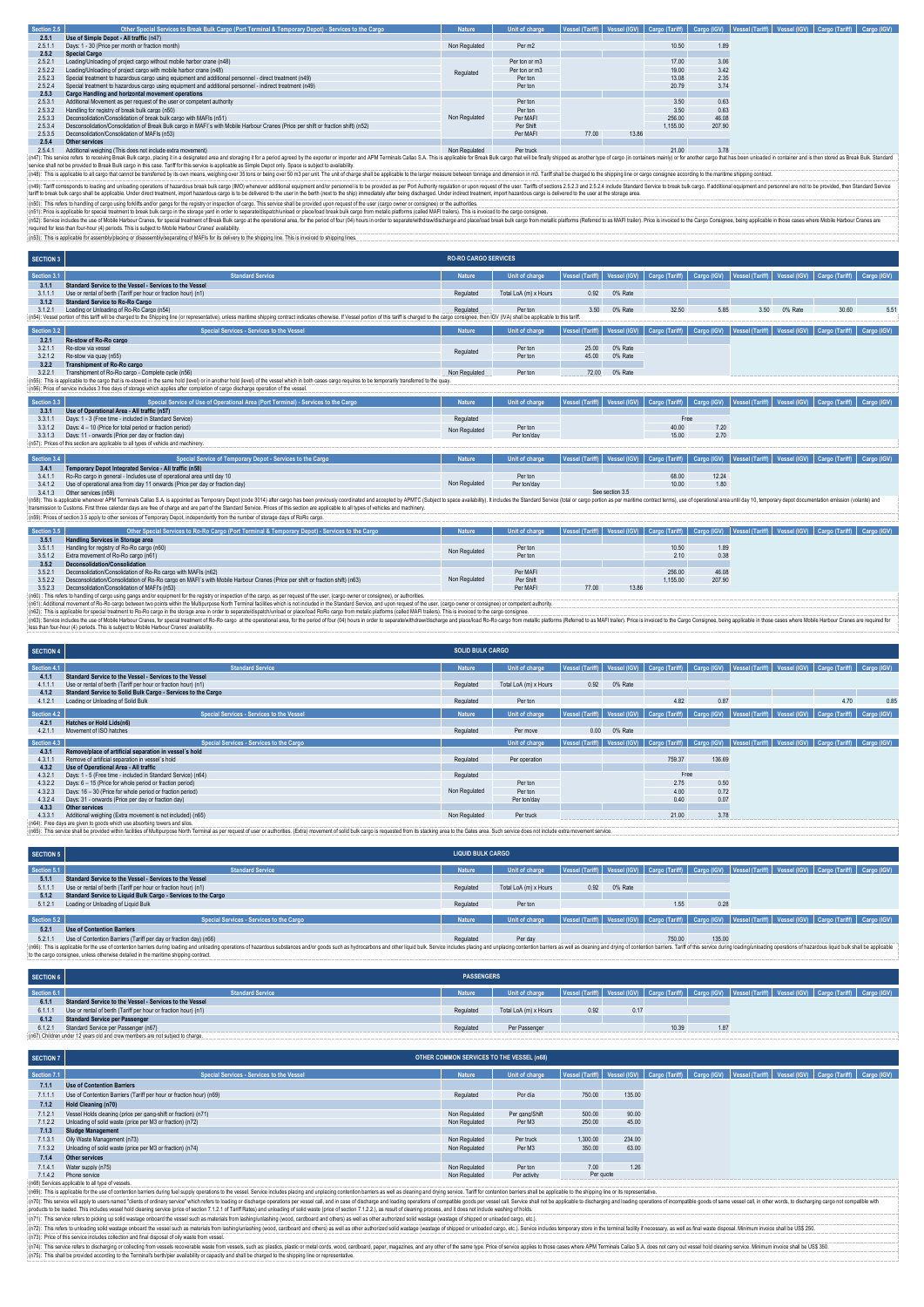| Section 2.5 | Other Special Services to Break Bulk Cargo (Port Terminal & Temporary Depot) - Services to the Cargo                                                                                                                                                                                                                                                                                            | <b>Nature</b> | Unit of charge |       |       |          |        | Vessel (Tariff)   Vessel (IGV)   Cargo (Tariff)   Cargo (IGV)   Vessel (Tariff)   Vessel (IGV)   Cargo (Tariff)   Cargo (IGV) |  |  |  |
|-------------|-------------------------------------------------------------------------------------------------------------------------------------------------------------------------------------------------------------------------------------------------------------------------------------------------------------------------------------------------------------------------------------------------|---------------|----------------|-------|-------|----------|--------|-------------------------------------------------------------------------------------------------------------------------------|--|--|--|
| 2.5.1       | Use of Simple Depot - All traffic (n47)                                                                                                                                                                                                                                                                                                                                                         |               |                |       |       |          |        |                                                                                                                               |  |  |  |
| 2.5.1.1     | Days: 1 - 30 (Price per month or fraction month)                                                                                                                                                                                                                                                                                                                                                | Non Regulated | Per m2         |       |       | 10.50    | 1.89   |                                                                                                                               |  |  |  |
| 2.5.2       | <b>Special Cargo</b>                                                                                                                                                                                                                                                                                                                                                                            |               |                |       |       |          |        |                                                                                                                               |  |  |  |
| 2521        | Loading/Unloading of project cargo without mobile harbor crane (n48)                                                                                                                                                                                                                                                                                                                            |               | Per ton or m3  |       |       | 17.00    | 3.06   |                                                                                                                               |  |  |  |
| 2.5.2.2     | Loading/Unloading of project cargo with mobile harbor crane (n48)                                                                                                                                                                                                                                                                                                                               | Regulated     | Per ton or m3  |       |       | 19.00    | 3.42   |                                                                                                                               |  |  |  |
| 2.5.2.3     | Special treatment to hazardous cargo using equipment and additional personnel - direct treatment (n49)                                                                                                                                                                                                                                                                                          |               | Per ton        |       |       | 13.08    | 2.35   |                                                                                                                               |  |  |  |
| 2.5.2.4     | Special treatment to hazardous cargo using equipment and additional personnel - indirect treatment (n49)                                                                                                                                                                                                                                                                                        |               | Per ton        |       |       | 20.79    | 3.74   |                                                                                                                               |  |  |  |
| 2.5.3       | Cargo Handling and horizontal movement operations                                                                                                                                                                                                                                                                                                                                               |               |                |       |       |          |        |                                                                                                                               |  |  |  |
| 2531        | Additional Movement as per request of the user or competent authority                                                                                                                                                                                                                                                                                                                           |               | Per ton        |       |       | 3.50     | 0.63   |                                                                                                                               |  |  |  |
| 2.5.3.2     | Handling for registry of break bulk cargo (n50)                                                                                                                                                                                                                                                                                                                                                 |               | Per ton        |       |       | 3.50     | 0.63   |                                                                                                                               |  |  |  |
| 2.5.3.3     | Deconsolidation/Consolidation of break bulk cargo with MAFIs (n51)                                                                                                                                                                                                                                                                                                                              | Non Regulated | Per MAFI       |       |       | 256.00   | 46.08  |                                                                                                                               |  |  |  |
| 2534        | Desconsolidation/Consolidation of Break Bulk cargo in MAFI's with Mobile Harbour Cranes (Price per shift or fraction shift) (n52)                                                                                                                                                                                                                                                               |               | Per Shift      |       |       | 1.155.00 | 207.90 |                                                                                                                               |  |  |  |
| 2.5.3.5     | Deconsolidation/Consolidation of MAFIs (n53)                                                                                                                                                                                                                                                                                                                                                    |               | Per MAFI       | 77.00 | 13.86 |          |        |                                                                                                                               |  |  |  |
| 2.5.4       | Other services                                                                                                                                                                                                                                                                                                                                                                                  |               |                |       |       |          |        |                                                                                                                               |  |  |  |
| 2541        | Additional weighing (This does not include extra movement)                                                                                                                                                                                                                                                                                                                                      | Non Regulated | Per truck      |       |       | 21.00    | 3.78   |                                                                                                                               |  |  |  |
|             | (n47): This service refers to receiving Break Bulk cargo, placing it in a designated area and storaging it for a period agreed by the exporter or importer and APM Terminals Callao S.A. This is applicable for Break Bulk car<br>service shall not be provided to Break Bulk cargo in this case. Tariff for this service is applicable as Simple Depot only. Space is subject to availability. |               |                |       |       |          |        |                                                                                                                               |  |  |  |
|             | (n48): This is applicable to all cargo that cannot be transferred by its own means, weighing over 35 tons or being over 50 m3 per unit. The unit of charge shall be applicable to the larger measure between tonnage and dimen                                                                                                                                                                  |               |                |       |       |          |        |                                                                                                                               |  |  |  |
|             | (af0): Taill accessode to longitum and provided the constant of bendering back and accessors and accessors and the constant of the constant of the constant of the constant case of CAI deadler Capital Section of CAI deadler                                                                                                                                                                  |               |                |       |       |          |        |                                                                                                                               |  |  |  |

(MS): Tafforesports to be and under operators chazatous bease but where additional experiment and to provide, the member of the member of the member of the section and the section of the section of the section of the secti

(n50): This refers to handling of cargo using forklifts and/or gangs for the registry or inspection of cargo. This service shall be provided upon request of the user (cargo owner or consignee) or the authorities.

(n51): Pixe is applicable for special treatment to break thulic carge on the storage yard in order to separabilispablunload or placed break bulk cargo from melalic platforms (called MAFI trailers). This is muvical the face

(n53): This is applicable for assembly/placing or disassembly/separating of MAFIs for its delivery to the shipping line. This is invoiced to shipping lines.

| <b>SECTION 3</b> | <b>RO-RO CARGO SERVICES</b>                                                                                                                                                                                                    |               |                       |                        |                 |                |             |                              |         |                                                                                                             |             |  |
|------------------|--------------------------------------------------------------------------------------------------------------------------------------------------------------------------------------------------------------------------------|---------------|-----------------------|------------------------|-----------------|----------------|-------------|------------------------------|---------|-------------------------------------------------------------------------------------------------------------|-------------|--|
| Section 3.1      | <b>Standard Service</b>                                                                                                                                                                                                        | <b>Nature</b> | Unit of charge        | <b>Vessel (Tariff)</b> | Vessel (IGV)    | Cargo (Tariff) | Cargo (IGV) | Vessel (Tariff) Vessel (IGV) |         | Cargo (Tariff)                                                                                              | Cargo (IGV) |  |
| 3.1.1            | Standard Service to the Vessel - Services to the Vessel                                                                                                                                                                        |               |                       |                        |                 |                |             |                              |         |                                                                                                             |             |  |
| 3111             | Use or rental of berth (Tariff per hour or fraction hour) (n1)                                                                                                                                                                 | Regulated     | Total LoA (m) x Hours | 0.92                   | 0% Rate         |                |             |                              |         |                                                                                                             |             |  |
| 3.1.2            | Standard Service to Ro-Ro Cargo                                                                                                                                                                                                |               |                       |                        |                 |                |             |                              |         |                                                                                                             |             |  |
| 3121             | Loading or Unloading of Ro-Ro Cargo (n54)                                                                                                                                                                                      | Regulated     | Per ton               | 3.50                   | 0% Rate         | 32.50          | 5.85        | 3.50                         | 0% Rate | 30.60                                                                                                       | 5.51        |  |
|                  | (n54): Vessel portion of this tariff will be charged to the Shipping line (or representative), unless maritime shipping contract indicates otherwise. If Vessel portion of this tariff is charged to the cargo consignee, then |               |                       |                        |                 |                |             |                              |         |                                                                                                             |             |  |
| Section 3.2      | Special Services - Services to the Vessel                                                                                                                                                                                      | <b>Nature</b> | Unit of charge        | <b>Vessel (Tariff)</b> | Vessel (IGV)    | Cargo (Tariff) | Cargo (IGV) | Vessel (Tariff) Vessel (IGV) |         | Cargo (Tariff) Cargo (IGV)                                                                                  |             |  |
| 3.2.1            | Re-stow of Ro-Ro cargo                                                                                                                                                                                                         |               |                       |                        |                 |                |             |                              |         |                                                                                                             |             |  |
| 3.2.1.1          | Re-stow via vessel                                                                                                                                                                                                             | Regulated     | Per ton               | 25.00                  | 0% Rate         |                |             |                              |         |                                                                                                             |             |  |
| 3.2.1.2          | Re-stow via quay (n55)                                                                                                                                                                                                         |               | Per ton               | 45.00                  | 0% Rate         |                |             |                              |         |                                                                                                             |             |  |
| 3.2.2            | Transhipment of Ro-Ro cargo                                                                                                                                                                                                    |               |                       |                        |                 |                |             |                              |         |                                                                                                             |             |  |
| 3221             | Transhipment of Ro-Ro cargo - Complete cycle (n56)                                                                                                                                                                             | Non Regulated | Per ton               | 72.00                  | 0% Rate         |                |             |                              |         |                                                                                                             |             |  |
|                  | (n55): This is applicable to the cargo that is re-stowed in the same hold (level) or in another hold (level) of the vessel which in both cases cargo requires to be temporarily transferred to the quay.                       |               |                       |                        |                 |                |             |                              |         |                                                                                                             |             |  |
|                  | (n56): Price of service includes 3 free days of storage which applies after completion of cargo discharge operation of the vessel                                                                                              |               |                       |                        |                 |                |             |                              |         |                                                                                                             |             |  |
| Section 3.3      | Special Service of Use of Operational Area (Port Terminal) - Services to the Cargo                                                                                                                                             | <b>Nature</b> | Unit of charge        | Vessel (Tariff)        |                 |                |             |                              |         | Vessel (IGV)   Cargo (Tariff)   Cargo (IGV)   Vessel (Tariff)   Vessel (IGV)   Cargo (Tariff)   Cargo (IGV) |             |  |
| 3.3.1            | Use of Operational Area - All traffic (n57)                                                                                                                                                                                    |               |                       |                        |                 |                |             |                              |         |                                                                                                             |             |  |
| 3.3.1.1          | Days: 1 - 3 (Free time - included in Standard Service)                                                                                                                                                                         | Regulated     |                       |                        |                 | Free           |             |                              |         |                                                                                                             |             |  |
| 3312             | Days: 4 - 10 (Price for total period or fraction period)                                                                                                                                                                       | Non Regulated | Per ton               |                        |                 | 40.00          | 7.20        |                              |         |                                                                                                             |             |  |
| 3313             | Days: 11 - onwards (Price per day or fraction day)                                                                                                                                                                             |               | Per ton/day           |                        |                 | 15.00          | 2.70        |                              |         |                                                                                                             |             |  |
|                  | (n57): Prices of this section are applicable to all types of vehicle and machinery.                                                                                                                                            |               |                       |                        |                 |                |             |                              |         |                                                                                                             |             |  |
|                  |                                                                                                                                                                                                                                |               |                       |                        |                 |                |             |                              |         |                                                                                                             |             |  |
| Section 3.4      | Special Service of Temporary Depot - Services to the Cargo                                                                                                                                                                     | <b>Nature</b> | Unit of charge        | Vessel (Tariff)        | Vessel (IGV)    | Cargo (Tariff) | Cargo (IGV) | Vessel (Tariff) Vessel (IGV) |         | Cargo (Tariff) Cargo (IGV)                                                                                  |             |  |
| 3.4.1            | Temporary Depot Integrated Service - All traffic (n58)                                                                                                                                                                         |               |                       |                        |                 |                |             |                              |         |                                                                                                             |             |  |
| 3411             | Ro-Ro cargo in general - Includes use of operational area until day 10                                                                                                                                                         |               | Per ton               |                        |                 | 68.00          | 12.24       |                              |         |                                                                                                             |             |  |
| 3.4.1.2          | Use of operational area from day 11 onwards (Price per day or fraction day)                                                                                                                                                    | Non Regulated | Per ton/day           |                        |                 | 10.00          | 1.80        |                              |         |                                                                                                             |             |  |
| 3.4.1.3          | Other services (n59)                                                                                                                                                                                                           |               |                       |                        | See section 3.5 |                |             |                              |         |                                                                                                             |             |  |
|                  | [n58]: This is applicable whenever APM Terminals Callao S.A. is appointed as Temporary Depot (code 3014) after cargo has been previously coordinated and accepted by APMTC (Subject to space availability). It includes the St |               |                       |                        |                 |                |             |                              |         |                                                                                                             |             |  |
|                  | transmission to Customs. First three calendar days are free of charge and are part of the Standard Service. Prices of this section are applicable to all types of vehicles and machinery.                                      |               |                       |                        |                 |                |             |                              |         |                                                                                                             |             |  |
|                  | (n59): Prices of section 3.5 apply to other services of Temporary Depot, independently from the number of storage days of RoRo cargo.                                                                                          |               |                       |                        |                 |                |             |                              |         |                                                                                                             |             |  |

|             | (nb9): Prices of section 3.5 apply to other services of Temporary Depot, independently from the number of storage days of RoRo cargo. |               |                |       |       |          |        |                                                                                                                                             |  |  |  |
|-------------|---------------------------------------------------------------------------------------------------------------------------------------|---------------|----------------|-------|-------|----------|--------|---------------------------------------------------------------------------------------------------------------------------------------------|--|--|--|
|             |                                                                                                                                       |               |                |       |       |          |        |                                                                                                                                             |  |  |  |
| Section 3.5 | Other Special Services to Ro-Ro Cargo (Port Terminal & Temporary Depot) - Services to the Cargo                                       | <b>Nature</b> | Unit of charge |       |       |          |        | Vessel (Tariff)   Vessel (IGV)   Cargo (Tariff)   Cargo (IGV)   Vessel (Tariff)   Vessel (IGV)   Cargo (Tariff)   Cargo (IGV)   Cargo (IGV) |  |  |  |
| 3.5.1       | Handling Services in Storage area                                                                                                     |               |                |       |       |          |        |                                                                                                                                             |  |  |  |
| 3.5.1.1     | Handling for registry of Ro-Ro cargo (n60)                                                                                            | Non Regulated | Per ton        |       |       | 10.50    | 1.89   |                                                                                                                                             |  |  |  |
| 3.5.1.2     | Extra movement of Ro-Ro cargo (n61)                                                                                                   |               | Per ton        |       |       | 2.10     | 0.38   |                                                                                                                                             |  |  |  |
| 3.5.2       | Deconsolidation/Consolidation                                                                                                         |               |                |       |       |          |        |                                                                                                                                             |  |  |  |
| 3.5.2.      | Deconsolidation/Consolidation of Ro-Ro cargo with MAFIs (n62)                                                                         |               | Per MAFI       |       |       | 256.00   | 46.08  |                                                                                                                                             |  |  |  |
| 3.5.2.2     | Desconsolidation/Consolidation of Ro-Ro cargo en MAFI's with Mobile Harbour Cranes (Price per shift or fraction shift) (n63)          | Non Regulated | Per Shift      |       |       | 1.155.00 | 207.90 |                                                                                                                                             |  |  |  |
| 3.5.2.3     | Deconsolidation/Consolidation of MAFI's (n53)                                                                                         |               | Per MAFI       | 77.00 | 13.86 |          |        |                                                                                                                                             |  |  |  |

(n60) : This refers to handling of cargo using gangs and/or equipment for the registry or inspection of the cargo, as per request of the user, (cargo owner or consignee), or authorities.

(inf)). Additional movement fix-Po-cargo abbreak the profess that in Multiproper North Terminal Bellis which is not included it the Standard Reform relate planet and content and content and content and content and content

| SECTION 4   |                                                                | <b>SOLID BULK CARGO</b> |                       |      |         |                                                 |             |  |                                                                                                                               |      |
|-------------|----------------------------------------------------------------|-------------------------|-----------------------|------|---------|-------------------------------------------------|-------------|--|-------------------------------------------------------------------------------------------------------------------------------|------|
| Section 4.1 | <b>Standard Service</b>                                        | <b>Nature</b>           | Unit of charge        |      |         |                                                 |             |  | Vessel (Tariff)   Vessel (IGV)   Cargo (Tariff)   Cargo (IGV)   Vessel (Tariff)   Vessel (IGV)   Cargo (Tariff)   Cargo (IGV) |      |
| 4.1.1       | Standard Service to the Vessel - Services to the Vessel        |                         |                       |      |         |                                                 |             |  |                                                                                                                               |      |
| 4.1.1.1     | Use or rental of berth (Tariff per hour or fraction hour) (n1) | Regulated               | Total LoA (m) x Hours | 0.92 | 0% Rate |                                                 |             |  |                                                                                                                               |      |
| 4.1.2       | Standard Service to Solid Bulk Cargo - Services to the Cargo   |                         |                       |      |         |                                                 |             |  |                                                                                                                               |      |
| 4121        | Loading or Unloading of Solid Bulk                             | Regulated               | Per ton               |      |         | 482                                             | 0.87        |  | 4.70                                                                                                                          | 0.85 |
| Section 4.2 | Special Services - Services to the Vessel                      | <b>Nature</b>           | Unit of charge        |      |         | Vessel (Tariff)   Vessel (IGV)   Cargo (Tariff) | Cargo (IGV) |  | Vessel (Tariff)   Vessel (IGV)   Cargo (Tariff)   Cargo (IGV)                                                                 |      |
| 4.2.1       | Hatches or Hold Lids(n6)                                       |                         |                       |      |         |                                                 |             |  |                                                                                                                               |      |
| 4211        | Movement of ISO hatches                                        | Regulated               | Per move              | 0.00 | 0% Rate |                                                 |             |  |                                                                                                                               |      |
| Section 4.3 | Special Services - Services to the Cargo                       |                         | Unit of charge        |      |         |                                                 |             |  | Vessel (Tariff)   Vessel (IGV)   Cargo (Tariff)   Cargo (IGV)   Vessel (Tariff)   Vessel (IGV)   Cargo (Tariff)   Cargo (IGV) |      |
| 4.3.1       | Remove/place of artificial separation in vessel's hold         |                         |                       |      |         |                                                 |             |  |                                                                                                                               |      |
| 4.3.1.1     | Remove of artificial separation in vessel's hold               | Regulated               | Per operation         |      |         | 759.37                                          | 136.69      |  |                                                                                                                               |      |
| 4.3.2       | Use of Operational Area - All traffic                          |                         |                       |      |         |                                                 |             |  |                                                                                                                               |      |
| 4.3.2.1     | Days: 1 - 5 (Free time - included in Standard Service) (n64)   | Regulated               |                       |      |         | Free                                            |             |  |                                                                                                                               |      |
| 4.3.2.2     | Days: 6 - 15 (Price for whole period or fraction period)       |                         | Per ton               |      |         | 2.75                                            | 0.50        |  |                                                                                                                               |      |
| 4323        | Days: 16 - 30 (Price for whole period or fraction period)      | Non Regulated           | Per ton               |      |         | 4.00                                            | 0.72        |  |                                                                                                                               |      |
| 4.3.2.4     | Days: 31 - onwards (Price per day or fraction day)             |                         | Per ton/day           |      |         | 0.40                                            | 0.07        |  |                                                                                                                               |      |
| 4.3.3       | Other services                                                 |                         |                       |      |         |                                                 |             |  |                                                                                                                               |      |
| 4331        | Additional weighing (Extra movement is not included) (n65).    | Non Regulated           | Per truck             |      |         | 21.00                                           | 3.78        |  |                                                                                                                               |      |

4.3.3.1 Additional weighing (Extra movement is not included) (n65)<br>(n64): Free days are given to about the abouting towers and slos.<br>(n65): This service shall be provided within pailies of Multourpose North Terminal as per

| <b>SECTION 5</b> |                                                                                                                                                                                                                                | <b>LIQUID BULK CARGO</b> |                       |      |         |        |        |                                                                                                                               |
|------------------|--------------------------------------------------------------------------------------------------------------------------------------------------------------------------------------------------------------------------------|--------------------------|-----------------------|------|---------|--------|--------|-------------------------------------------------------------------------------------------------------------------------------|
| Section 5.1      | <b>Standard Service</b>                                                                                                                                                                                                        | <b>Nature</b>            | Unit of charge        |      |         |        |        | Vessel (Tariff)   Vessel (IGV)   Cargo (Tariff)   Cargo (IGV)   Vessel (Tariff)   Vessel (IGV)   Cargo (Tariff)   Cargo (IGV) |
| 5.1.1            | Standard Service to the Vessel - Services to the Vessel                                                                                                                                                                        |                          |                       |      |         |        |        |                                                                                                                               |
| 5.1.1.1          | Use or rental of berth (Tariff per hour or fraction hour) (n1)                                                                                                                                                                 | Regulated                | Total LoA (m) x Hours | 0.92 | 0% Rate |        |        |                                                                                                                               |
| 5.1.2            | Standard Service to Liquid Bulk Cargo - Services to the Cargo                                                                                                                                                                  |                          |                       |      |         |        |        |                                                                                                                               |
| 5.1.2.1          | Loading or Unloading of Liquid Bulk                                                                                                                                                                                            | Regulated                | Per ton               |      |         | 1.55   | 0.28   |                                                                                                                               |
|                  |                                                                                                                                                                                                                                |                          |                       |      |         |        |        |                                                                                                                               |
| Section 5.2      | Special Services - Services to the Cargo                                                                                                                                                                                       | <b>Nature</b>            | Unit of charge        |      |         |        |        | Vessel (Tariff) Vessel (IGV) Cargo (Tariff) Cargo (IGV) Vessel (Tariff) Vessel (IGV) Cargo (Tariff) Cargo (IGV)               |
| 5.2.1            | <b>Use of Contention Barriers</b>                                                                                                                                                                                              |                          |                       |      |         |        |        |                                                                                                                               |
| 5211             | Use of Contention Barriers (Tariff per day or fraction day) (n66)                                                                                                                                                              | Regulated                | Per day               |      |         | 750.00 | 135.00 |                                                                                                                               |
|                  | : (n66): This is applicable for the use of contention barriers during loading and unloading operations of hazardous substances and/or goods such as hydrocarbons and other liquid bulk. Service includes placing and unplacing |                          |                       |      |         |        |        |                                                                                                                               |
|                  | to the cargo consignee, unless otherwise detailed in the maritime shipping contract.                                                                                                                                           |                          |                       |      |         |        |        |                                                                                                                               |

| SECTION 6   | <b>PASSENGERS</b>                                                             |           |                       |      |      |       |  |                                                                                                                                              |  |  |  |
|-------------|-------------------------------------------------------------------------------|-----------|-----------------------|------|------|-------|--|----------------------------------------------------------------------------------------------------------------------------------------------|--|--|--|
| Section 6.1 | <b>Standard Service</b>                                                       | Nature.   |                       |      |      |       |  | Unit of charge Vessel (Tariff)   Vessel (IGV)   Cargo (Tariff)   Cargo (IGV)   Vessel (Tariff)   Vessel (IGV)   Cargo (Tariff)   Cargo (IGV) |  |  |  |
| 6.1.1       | Standard Service to the Vessel - Services to the Vessel                       |           |                       |      |      |       |  |                                                                                                                                              |  |  |  |
| 6.1.1.1     | Use or rental of berth (Tariff per hour or fraction hour) (n1)                | Regulated | Total LoA (m) x Hours | 0.92 | 0.17 |       |  |                                                                                                                                              |  |  |  |
| 6.1.2       | <b>Standard Service per Passenger</b>                                         |           |                       |      |      |       |  |                                                                                                                                              |  |  |  |
| 6.1.2.1     | Standard Service per Passenger (n67)                                          | Regulated | Per Passenger         |      |      | 10.39 |  |                                                                                                                                              |  |  |  |
|             | (n67) Children under 12 years old and crew members are not subject to charge. |           |                       |      |      |       |  |                                                                                                                                              |  |  |  |

| <b>SECTION 7</b>                                  | OTHER COMMON SERVICES TO THE VESSEL (n68)                           |               |                |           |        |                                                                                                                               |  |  |  |  |  |
|---------------------------------------------------|---------------------------------------------------------------------|---------------|----------------|-----------|--------|-------------------------------------------------------------------------------------------------------------------------------|--|--|--|--|--|
| Section 7.1                                       | Special Services - Services to the Vessel                           | <b>Nature</b> | Unit of charge |           |        | Vessel (Tariff)   Vessel (IGV)   Cargo (Tariff)   Cargo (IGV)   Vessel (Tariff)   Vessel (IGV)   Cargo (Tariff)   Cargo (IGV) |  |  |  |  |  |
| 7.1.1                                             | <b>Use of Contention Barriers</b>                                   |               |                |           |        |                                                                                                                               |  |  |  |  |  |
| 7.1.1.1                                           | Use of Contention Barriers (Tariff per hour or fraction hour) (n69) | Regulated     | Por día        | 750.00    | 135.00 |                                                                                                                               |  |  |  |  |  |
| 7.1.2                                             | <b>Hold Cleaning (n70)</b>                                          |               |                |           |        |                                                                                                                               |  |  |  |  |  |
| 7.1.2.1                                           | Vessel Holds cleaning (price per gang-shift or fraction) (n71)      | Non Regulated | Per gang/Shift | 500.00    | 90.00  |                                                                                                                               |  |  |  |  |  |
| 7.1.2.2                                           | Unloading of solid waste (price per M3 or fraction) (n72)           | Non Regulated | Per M3         | 250.00    | 45.00  |                                                                                                                               |  |  |  |  |  |
| 7.1.3                                             | Sludge Management                                                   |               |                |           |        |                                                                                                                               |  |  |  |  |  |
| 7.1.3.1                                           | Oily Waste Management (n73)                                         | Non Regulated | Per truck      | 1,300.00  | 234.00 |                                                                                                                               |  |  |  |  |  |
| 7.1.3.2                                           | Unloading of solid waste (price per M3 or fraction) (n74)           | Non Regulated | Per M3         | 350.00    | 63.00  |                                                                                                                               |  |  |  |  |  |
| 7.1.4                                             | Other services                                                      |               |                |           |        |                                                                                                                               |  |  |  |  |  |
| 7.1.4.1                                           | Water supply (n75)                                                  | Non Regulated | Per ton        | 7.00      | 1.26   |                                                                                                                               |  |  |  |  |  |
|                                                   | 7.1.4.2 Phone service                                               | Non Regulated | Per activity   | Per quote |        |                                                                                                                               |  |  |  |  |  |
| (n68) Services applicable to all type of vessels. |                                                                     |               |                |           |        |                                                                                                                               |  |  |  |  |  |

(n71): This service refers to picking up solid wastage onboard the vessel such as materials from lashing/unlashing (wood, cardboard and others) as well as other authorized solid wastage (wastage of shipped or unloaded carg (r65) Services applicable to all type of vestels.<br>(r65): This is applicable to the use of contention berieve during bel supply operations to the vessel. Service includes placing and relation contents as well as desirable p

(n72): This erist burnodary solutions of the west such as matrials for lashight about and others) as well as other authorized solid wastage (wastage of shipped or unbaded cargo, etc.). Service includes temporary store in t

swe universed.<br>Table was form vessels, such as: plastics, plastic or metal cords, wood, cardboard, paper, magazines, and any other of the same type. Price of service applies to those cases where APM Terminals Callao S.A do (n/1): This service of this service moves conercion and man usay concurred according to the provided according to the Terminal's concept and the shall be charged to the shall be charged to the shipping line or representati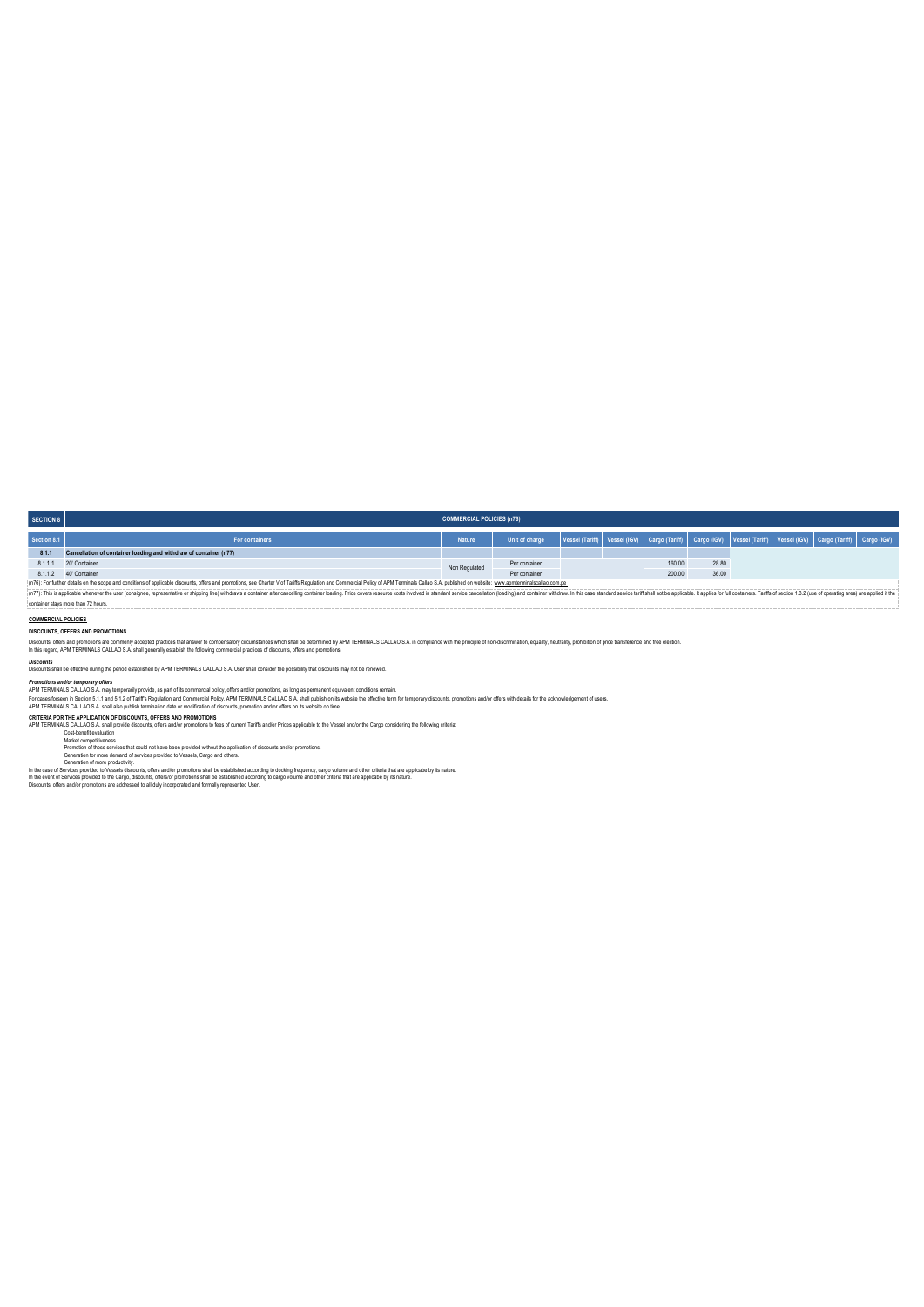| <b>SECTION 8</b>                                                                                                                                                                                                               | <b>COMMERCIAL POLICIES (n76)</b>                                  |               |                                                                                                                                                                                                                              |  |  |        |       |  |  |  |  |
|--------------------------------------------------------------------------------------------------------------------------------------------------------------------------------------------------------------------------------|-------------------------------------------------------------------|---------------|------------------------------------------------------------------------------------------------------------------------------------------------------------------------------------------------------------------------------|--|--|--------|-------|--|--|--|--|
| Section 8.1                                                                                                                                                                                                                    | For containers                                                    | <b>Nature</b> | Unit of charge   Vessel (Tariff)   Vessel (IGV)   Cargo (Tariff)   Cargo (IGV)   Vessel (Tariff)   Vessel (IGV)   Cargo (Tariff)   Cargo (IGV)   Cargo (Tariff)   Cargo (IGV)   Cargo (IGV)   Cargo (IGV)   Cargo (IGV)   Ca |  |  |        |       |  |  |  |  |
| 8.1.1                                                                                                                                                                                                                          | Cancellation of container loading and withdraw of container (n77) |               |                                                                                                                                                                                                                              |  |  |        |       |  |  |  |  |
| 8.1.1.1                                                                                                                                                                                                                        | 20' Container                                                     | Non Regulated | Per container                                                                                                                                                                                                                |  |  | 160.00 | 28.80 |  |  |  |  |
|                                                                                                                                                                                                                                | 8.1.1.2  40' Container                                            |               | Per container                                                                                                                                                                                                                |  |  | 200.00 | 36.00 |  |  |  |  |
| (n76): For further details on the scope and conditions of applicable discounts, offers and promotions, see Charter V of Tariffs Regulation and Commercial Policy of APM Terminals Callao S.A. published on website: www.apmter |                                                                   |               |                                                                                                                                                                                                                              |  |  |        |       |  |  |  |  |

(n7)); For there desison the scope and conditions deglicable discuss, children promotions, see Charar V of Term led and contented Policy and Character and Character and Character and Character and Character and Character a container stays more than 72 hours.

# **COMMERCIAL POLICIES**

## **DISCOUNTS, OFFERS AND PROMOTIONS**

Discust, offers and promotors arcommonly scopieds practions that answer to compensity circumstancs which substitute that including the finance with the principle of non-discussion, equally, neutrally, probling of price is

*Discounts* Discounts shall be effective during the period established by APM TERMINALS CALLAO S.A. User shall consider the possibility that discounts may not be renewed.

Promotions and/or emporary offers<br>APM TERMINAIS CALLAO S.A mart 5.1 particles as part of its commercial policy, offers and/or promotions, as long as permanent equivalent conditions remain.<br>For cases forsent in Section 5.1.

CRITERIA POR THE APPLICATION OF DISCOUNTS, OFFERS AND PROMOTIONS<br>APIN TERNINALS CALLAO S.A shall provide discounts, offers and/or promotions to fees of current Tariffs and/or Prices applicable to the Vessel and/or the Carg

Promotion of those services that could not have been provided without the application of discounts and/or promotions.<br>Generation for more demand of services to very detect that the set of the service of the service of the